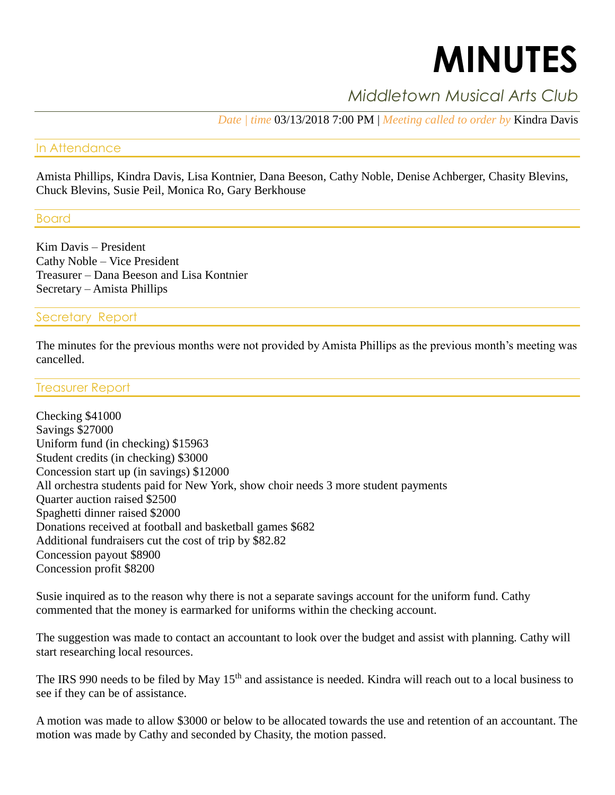# **MINUTES**

# *Middletown Musical Arts Club*

*Date | time* 03/13/2018 7:00 PM | *Meeting called to order by* Kindra Davis

### In Attendance

Amista Phillips, Kindra Davis, Lisa Kontnier, Dana Beeson, Cathy Noble, Denise Achberger, Chasity Blevins, Chuck Blevins, Susie Peil, Monica Ro, Gary Berkhouse

Board

Kim Davis – President Cathy Noble – Vice President Treasurer – Dana Beeson and Lisa Kontnier Secretary – Amista Phillips

# Secretary Report

The minutes for the previous months were not provided by Amista Phillips as the previous month's meeting was cancelled.

Treasurer Report

Checking \$41000 Savings \$27000 Uniform fund (in checking) \$15963 Student credits (in checking) \$3000 Concession start up (in savings) \$12000 All orchestra students paid for New York, show choir needs 3 more student payments Quarter auction raised \$2500 Spaghetti dinner raised \$2000 Donations received at football and basketball games \$682 Additional fundraisers cut the cost of trip by \$82.82 Concession payout \$8900 Concession profit \$8200

Susie inquired as to the reason why there is not a separate savings account for the uniform fund. Cathy commented that the money is earmarked for uniforms within the checking account.

The suggestion was made to contact an accountant to look over the budget and assist with planning. Cathy will start researching local resources.

The IRS 990 needs to be filed by May 15<sup>th</sup> and assistance is needed. Kindra will reach out to a local business to see if they can be of assistance.

A motion was made to allow \$3000 or below to be allocated towards the use and retention of an accountant. The motion was made by Cathy and seconded by Chasity, the motion passed.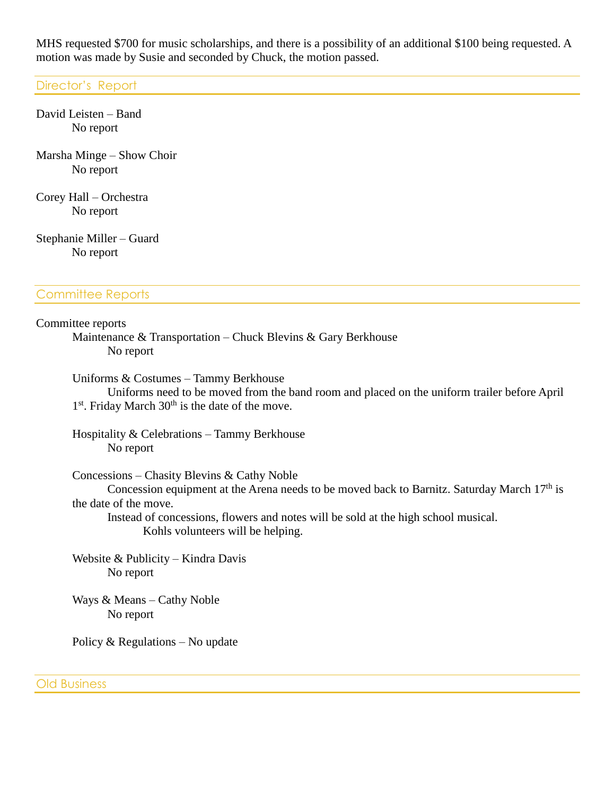MHS requested \$700 for music scholarships, and there is a possibility of an additional \$100 being requested. A motion was made by Susie and seconded by Chuck, the motion passed.

#### Director's Report

David Leisten – Band No report

Marsha Minge – Show Choir No report

Corey Hall – Orchestra No report

Stephanie Miller – Guard No report

# Committee Reports

#### Committee reports

Maintenance & Transportation – Chuck Blevins & Gary Berkhouse No report

Uniforms & Costumes – Tammy Berkhouse Uniforms need to be moved from the band room and placed on the uniform trailer before April 1<sup>st</sup>. Friday March 30<sup>th</sup> is the date of the move.

Hospitality & Celebrations – Tammy Berkhouse No report

Concessions – Chasity Blevins & Cathy Noble

Concession equipment at the Arena needs to be moved back to Barnitz. Saturday March 17<sup>th</sup> is the date of the move.

Instead of concessions, flowers and notes will be sold at the high school musical. Kohls volunteers will be helping.

Website & Publicity – Kindra Davis No report

Ways & Means – Cathy Noble No report

Policy & Regulations – No update